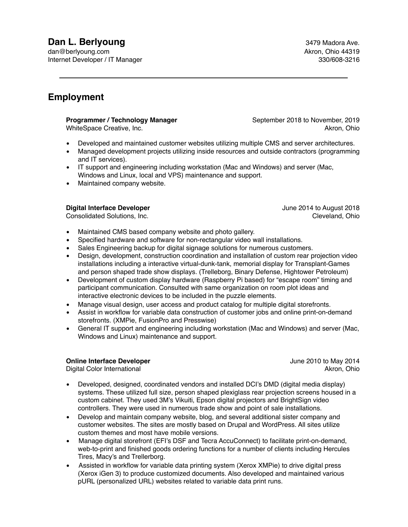## **Dan L. Berlyoung Contract Contract Contract Contract Contract Contract Contract Contract Contract Contract Contract Contract Contract Contract Contract Contract Contract Contract Contract Contract Contract Contract Cont**

dan@berlyoung.com **Akron, Ohio 44319** Internet Developer / IT Manager 330/608-3216

## **Employment**

**Programmer / Technology Manager** September 2018 to November, 2019

WhiteSpace Creative, Inc. Akron, Ohio and Akron, Ohio and Akron, Ohio and Akron, Ohio and Akron, Ohio

- Developed and maintained customer websites utilizing multiple CMS and server architectures.
- Managed development projects utilizing inside resources and outside contractors (programming and IT services).
- IT support and engineering including workstation (Mac and Windows) and server (Mac, Windows and Linux, local and VPS) maintenance and support.
- Maintained company website.

#### **Digital Interface Developer Digital Interface Developer June 2014 to August 2018**

- Maintained CMS based company website and photo gallery.
- Specified hardware and software for non-rectangular video wall installations.
- Sales Engineering backup for digital signage solutions for numerous customers.
- Design, development, construction coordination and installation of custom rear projection video installations including a interactive virtual-dunk-tank, memorial display for Transplant-Games and person shaped trade show displays. (Trelleborg, Binary Defense, Hightower Petroleum)
- Development of custom display hardware (Raspberry Pi based) for "escape room" timing and participant communication. Consulted with same organization on room plot ideas and interactive electronic devices to be included in the puzzle elements.
- Manage visual design, user access and product catalog for multiple digital storefronts.
- Assist in workflow for variable data construction of customer jobs and online print-on-demand storefronts. (XMPie, FusionPro and Presswise)
- General IT support and engineering including workstation (Mac and Windows) and server (Mac, Windows and Linux) maintenance and support.

#### **Online Interface Developer Constanting Constanting Constanting Constanting Constanting Constanting Constanting Constanting Constanting Constanting Constanting Constanting Constanting Constanting Constanting Constanting**

Digital Color International Akron, Ohio and Akron, Ohio and Akron, Ohio and Akron, Ohio and Akron, Ohio and Akron, Ohio

- Developed, designed, coordinated vendors and installed DCI's DMD (digital media display) systems. These utilized full size, person shaped plexiglass rear projection screens housed in a custom cabinet. They used 3M's Vikuiti, Epson digital projectors and BrightSign video controllers. They were used in numerous trade show and point of sale installations.
- Develop and maintain company website, blog, and several additional sister company and customer websites. The sites are mostly based on Drupal and WordPress. All sites utilize custom themes and most have mobile versions.
- Manage digital storefront (EFI's DSF and Tecra AccuConnect) to facilitate print-on-demand, web-to-print and finished goods ordering functions for a number of clients including Hercules Tires, Macy's and Trellerborg.
- Assisted in workflow for variable data printing system (Xerox XMPie) to drive digital press (Xerox iGen 3) to produce customized documents. Also developed and maintained various pURL (personalized URL) websites related to variable data print runs.

Consolidated Solutions, Inc. Consolidated Solutions, Inc. Cleveland, Ohio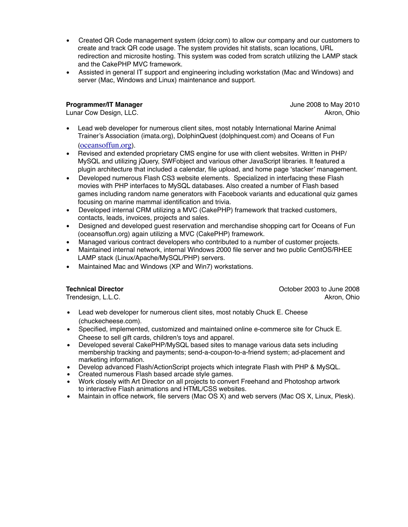- Created QR Code management system (dciqr.com) to allow our company and our customers to create and track QR code usage. The system provides hit statists, scan locations, URL redirection and microsite hosting. This system was coded from scratch utilizing the LAMP stack and the CakePHP MVC framework.
- Assisted in general IT support and engineering including workstation (Mac and Windows) and server (Mac, Windows and Linux) maintenance and support.

### **Programmer/IT Manager** June 2008 to May 2010

Lunar Cow Design, LLC. Akron, Ohio and the United States of the United States of Akron, Ohio and Akron, Ohio

- Lead web developer for numerous client sites, most notably International Marine Animal Trainer's Association (imata.org), DolphinQuest (dolphinquest.com) and Oceans of Fun ([oceansoffun.org](http://oceansoffun.org)).
- Revised and extended proprietary CMS engine for use with client websites. Written in PHP/ MySQL and utilizing jQuery, SWFobject and various other JavaScript libraries. It featured a plugin architecture that included a calendar, file upload, and home page 'stacker' management.
- Developed numerous Flash CS3 website elements. Specialized in interfacing these Flash movies with PHP interfaces to MySQL databases. Also created a number of Flash based games including random name generators with Facebook variants and educational quiz games focusing on marine mammal identification and trivia.
- Developed internal CRM utilizing a MVC (CakePHP) framework that tracked customers, contacts, leads, invoices, projects and sales.
- Designed and developed guest reservation and merchandise shopping cart for Oceans of Fun (oceansoffun.org) again utilizing a MVC (CakePHP) framework.
- Managed various contract developers who contributed to a number of customer projects.
- Maintained internal network, internal Windows 2000 file server and two public CentOS/RHEE LAMP stack (Linux/Apache/MySQL/PHP) servers.
- Maintained Mac and Windows (XP and Win7) workstations.

**Technical Director Contracts Technical Director Contracts Contracts Contracts Contracts Contracts Contracts Contracts Contracts Contracts Contracts Contracts Contracts Contracts Contracts** Trendesign, L.L.C. **Akron, Ohio Akron, Ohio Akron, Ohio Akron, Ohio Akron, Ohio** 

- Lead web developer for numerous client sites, most notably Chuck E. Cheese (chuckecheese.com).
- Specified, implemented, customized and maintained online e-commerce site for Chuck E. Cheese to sell gift cards, children's toys and apparel.
- Developed several CakePHP/MySQL based sites to manage various data sets including membership tracking and payments; send-a-coupon-to-a-friend system; ad-placement and marketing information.
- Develop advanced Flash/ActionScript projects which integrate Flash with PHP & MySQL.
- Created numerous Flash based arcade style games.
- Work closely with Art Director on all projects to convert Freehand and Photoshop artwork to interactive Flash animations and HTML/CSS websites.
- Maintain in office network, file servers (Mac OS X) and web servers (Mac OS X, Linux, Plesk).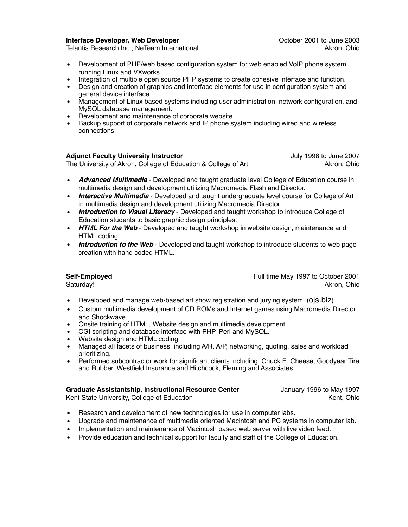#### **Interface Developer, Web Developer Consumer 2001 to June 2003**

Telantis Research Inc., NeTeam International Acromoversity Channel Akron, Ohio

- Development of PHP/web based configuration system for web enabled VoIP phone system running Linux and VXworks.
- Integration of multiple open source PHP systems to create cohesive interface and function.
- Design and creation of graphics and interface elements for use in configuration system and general device interface.
- Management of Linux based systems including user administration, network configuration, and MySQL database management.
- Development and maintenance of corporate website.
- Backup support of corporate network and IP phone system including wired and wireless connections.

### **Adjunct Faculty University Instructor** Matches Adjunct 1998 to June 2007

The University of Akron, College of Education & College of Art Akron, Ohio

- *Advanced Multimedia* Developed and taught graduate level College of Education course in multimedia design and development utilizing Macromedia Flash and Director.
- *Interactive Multimedia* Developed and taught undergraduate level course for College of Art in multimedia design and development utilizing Macromedia Director.
- *Introduction to Visual Literacy* Developed and taught workshop to introduce College of Education students to basic graphic design principles.
- *HTML For the Web* Developed and taught workshop in website design, maintenance and HTML coding.
- *Introduction to the Web* Developed and taught workshop to introduce students to web page creation with hand coded HTML.

**Self-Employed** Full time May 1997 to October 2001 Saturday! Akron, Ohio

- Developed and manage web-based art show registration and jurying system. (ojs.biz)
- Custom multimedia development of CD ROMs and Internet games using Macromedia Director and Shockwave.
- Onsite training of HTML, Website design and multimedia development.
- CGI scripting and database interface with PHP, Perl and MySQL.
- Website design and HTML coding.
- Managed all facets of business, including A/R, A/P, networking, quoting, sales and workload prioritizing.
- Performed subcontractor work for significant clients including: Chuck E. Cheese, Goodyear Tire and Rubber, Westfield Insurance and Hitchcock, Fleming and Associates.

#### **Graduate Assistantship, Instructional Resource Center** January 1996 to May 1997

Kent State University, College of Education Kent, Ohio Kent, Ohio

- Research and development of new technologies for use in computer labs.
- Upgrade and maintenance of multimedia oriented Macintosh and PC systems in computer lab.
- Implementation and maintenance of Macintosh based web server with live video feed.
- Provide education and technical support for faculty and staff of the College of Education.